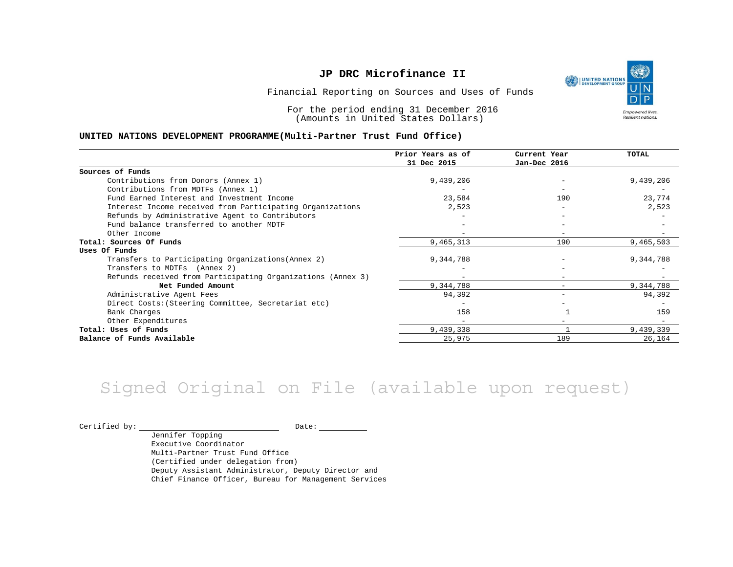

Financial Reporting on Sources and Uses of Funds

For the period ending 31 December 2016 (Amounts in United States Dollars)

#### **UNITED NATIONS DEVELOPMENT PROGRAMME(Multi-Partner Trust Fund Office)**

|                                                             | Prior Years as of<br>31 Dec 2015 | Current Year<br>Jan-Dec 2016 | TOTAL     |
|-------------------------------------------------------------|----------------------------------|------------------------------|-----------|
|                                                             |                                  |                              |           |
| Sources of Funds                                            |                                  |                              |           |
| Contributions from Donors (Annex 1)                         | 9,439,206                        |                              | 9,439,206 |
| Contributions from MDTFs (Annex 1)                          |                                  |                              |           |
| Fund Earned Interest and Investment Income                  | 23,584                           | 190                          | 23,774    |
| Interest Income received from Participating Organizations   | 2,523                            |                              | 2,523     |
| Refunds by Administrative Agent to Contributors             |                                  |                              |           |
| Fund balance transferred to another MDTF                    |                                  |                              |           |
| Other Income                                                |                                  |                              |           |
| Total: Sources Of Funds                                     | 9,465,313                        | 190                          | 9,465,503 |
| Uses Of Funds                                               |                                  |                              |           |
| Transfers to Participating Organizations (Annex 2)          | 9,344,788                        |                              | 9,344,788 |
| Transfers to MDTFs (Annex 2)                                |                                  |                              |           |
| Refunds received from Participating Organizations (Annex 3) | -                                | $\overline{\phantom{0}}$     |           |
| Net Funded Amount                                           | 9,344,788                        |                              | 9,344,788 |
| Administrative Agent Fees                                   | 94,392                           | $\overline{\phantom{0}}$     | 94,392    |
| Direct Costs: (Steering Committee, Secretariat etc)         |                                  |                              |           |
| Bank Charges                                                | 158                              |                              | 159       |
| Other Expenditures                                          |                                  |                              |           |
| Total: Uses of Funds                                        | 9,439,338                        |                              | 9,439,339 |
| Balance of Funds Available                                  | 25,975                           | 189                          | 26,164    |

## Signed Original on File (available upon request)

Certified by: Date:

Jennifer Topping Executive Coordinator Multi-Partner Trust Fund Office (Certified under delegation from) Deputy Assistant Administrator, Deputy Director and Chief Finance Officer, Bureau for Management Services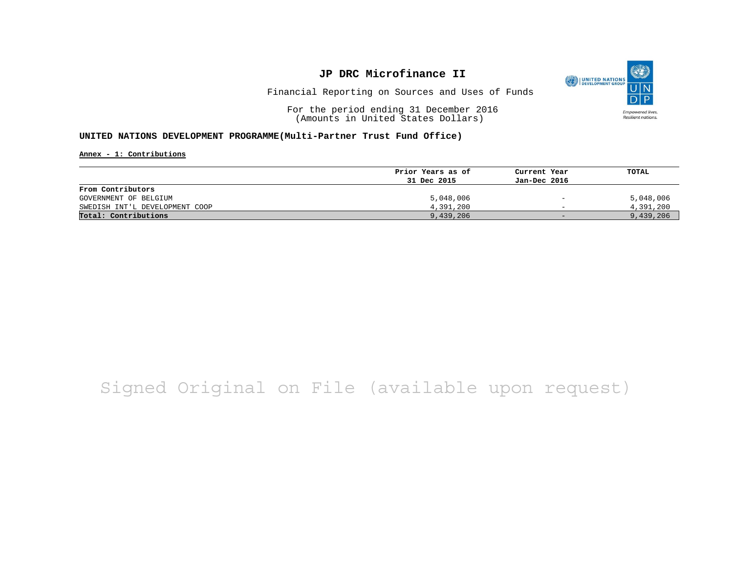

Financial Reporting on Sources and Uses of Funds

For the period ending 31 December 2016 (Amounts in United States Dollars)

#### **UNITED NATIONS DEVELOPMENT PROGRAMME(Multi-Partner Trust Fund Office)**

**Annex - 1: Contributions**

|                                | Prior Years as of | Current Year                 | TOTAL     |
|--------------------------------|-------------------|------------------------------|-----------|
|                                | 31 Dec 2015       | Jan-Dec 2016                 |           |
| From Contributors              |                   |                              |           |
| GOVERNMENT OF BELGIUM          | 5,048,006         | $\qquad \qquad \blacksquare$ | 5,048,006 |
| SWEDISH INT'L DEVELOPMENT COOP | 4,391,200         | $\overline{\phantom{0}}$     | 4,391,200 |
| Total: Contributions           | 9,439,206         | $-$                          | 9,439,206 |

## Signed Original on File (available upon request)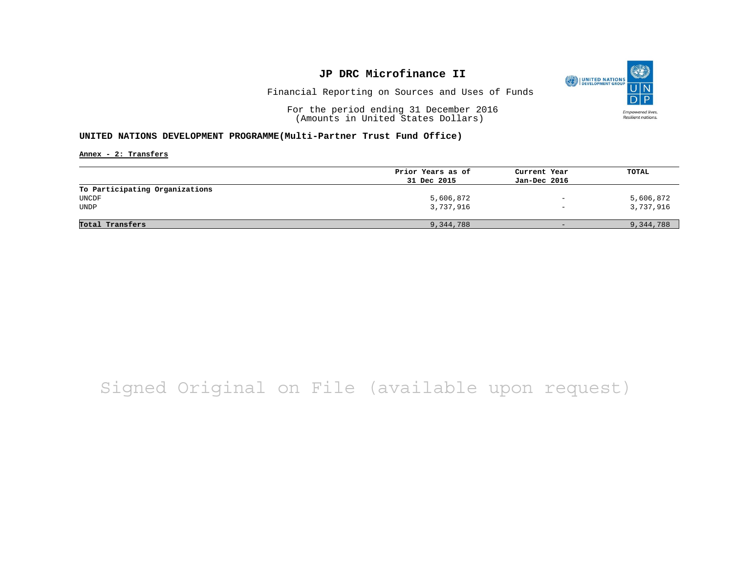

Financial Reporting on Sources and Uses of Funds

For the period ending 31 December 2016 (Amounts in United States Dollars)

#### **UNITED NATIONS DEVELOPMENT PROGRAMME(Multi-Partner Trust Fund Office)**

**Annex - 2: Transfers**

|                                | Prior Years as of | Current Year             | TOTAL     |
|--------------------------------|-------------------|--------------------------|-----------|
|                                | 31 Dec 2015       | Jan-Dec 2016             |           |
| To Participating Organizations |                   |                          |           |
| UNCDF                          | 5,606,872         | $\qquad \qquad -$        | 5,606,872 |
| <b>UNDP</b>                    | 3,737,916         | $\overline{\phantom{a}}$ | 3,737,916 |
|                                |                   |                          |           |
| Total Transfers                | 9,344,788         | $-$                      | 9,344,788 |

## Signed Original on File (available upon request)